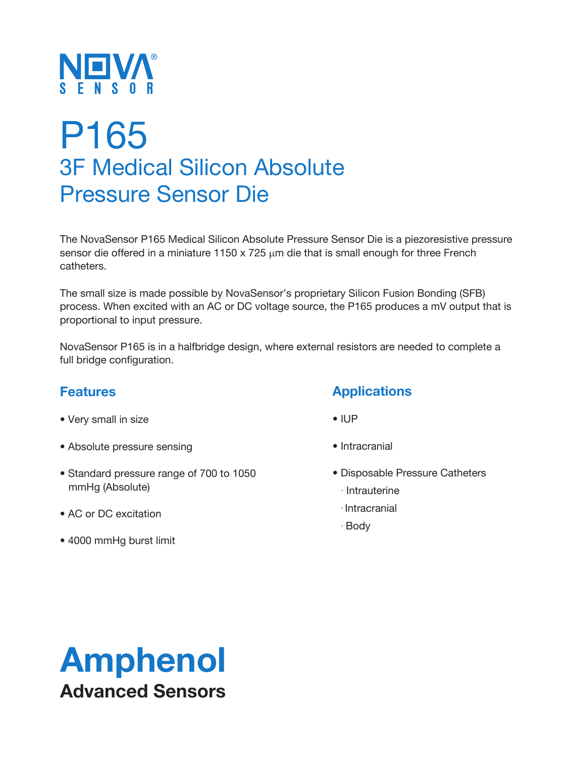

# P165 3F Medical Silicon Absolute Pressure Sensor Die

The NovaSensor P165 Medical Silicon Absolute Pressure Sensor Die is a piezoresistive pressure sensor die offered in a miniature 1150 x 725  $\mu$ m die that is small enough for three French catheters.

The small size is made possible by NovaSensor's proprietary Silicon Fusion Bonding (SFB) process. When excited with an AC or DC voltage source, the P165 produces a mV output that is proportional to input pressure.

NovaSensor P165 is in a halfbridge design, where external resistors are needed to complete a full bridge configuration.

#### **Features**

- Very small in size
- Absolute pressure sensing
- Standard pressure range of 700 to 1050 mmHg (Absolute)
- AC or DC excitation
- 4000 mmHg burst limit

#### **Applications**

- IUP
- Intracranial
- Disposable Pressure Catheters
	- Intrauterine
	- Intracranial
	- Body